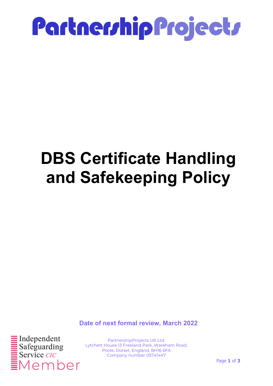

### DBS Certificate Handling and Safekeeping Policy

Date of next formal review, March 2022



PartnershipProjects UK Ltd. Lytchett House 13 Freeland Park, Wareham Road, Poole, Dorset, England, BH16 6FA Company number 05741447

Page 1 of 3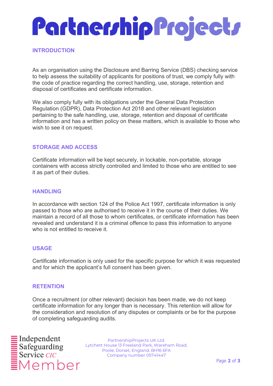# Partnership Projects

#### **INTRODUCTION**

As an organisation using the Disclosure and Barring Service (DBS) checking service to help assess the suitability of applicants for positions of trust, we comply fully with the code of practice regarding the correct handling, use, storage, retention and disposal of certificates and certificate information.

We also comply fully with its obligations under the General Data Protection Regulation (GDPR), Data Protection Act 2018 and other relevant legislation pertaining to the safe handling, use, storage, retention and disposal of certificate information and has a written policy on these matters, which is available to those who wish to see it on request.

#### STORAGE AND ACCESS

Certificate information will be kept securely, in lockable, non-portable, storage containers with access strictly controlled and limited to those who are entitled to see it as part of their duties.

#### **HANDLING**

In accordance with section 124 of the Police Act 1997, certificate information is only passed to those who are authorised to receive it in the course of their duties. We maintain a record of all those to whom certificates, or certificate information has been revealed and understand it is a criminal offence to pass this information to anyone who is not entitled to receive it.

#### USAGE

Certificate information is only used for the specific purpose for which it was requested and for which the applicant's full consent has been given.

#### **RETENTION**

Once a recruitment (or other relevant) decision has been made, we do not keep certificate information for any longer than is necessary. This retention will allow for the consideration and resolution of any disputes or complaints or be for the purpose of completing safeguarding audits.



PartnershipProjects UK Ltd. Lytchett House 13 Freeland Park, Wareham Road, Poole, Dorset, England, BH16 6FA Company number 05741447